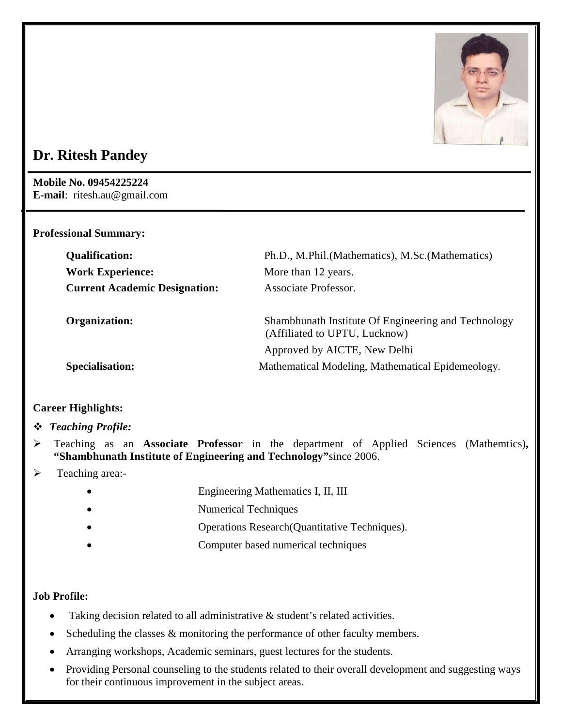

# **Dr. Ritesh Pandey**

**Mobile No. 09454225224 E-mail**: ritesh.au@gmail.com

## **Professional Summary:**

| <b>Qualification:</b>                | Ph.D., M.Phil.(Mathematics), M.Sc.(Mathematics)     |
|--------------------------------------|-----------------------------------------------------|
| <b>Work Experience:</b>              | More than 12 years.                                 |
| <b>Current Academic Designation:</b> | Associate Professor.                                |
| Organization:                        | Shambhunath Institute Of Engineering and Technology |
|                                      | (Affiliated to UPTU, Lucknow)                       |
|                                      | Approved by AICTE, New Delhi                        |
| <b>Specialisation:</b>               | Mathematical Modeling, Mathematical Epidemeology.   |

# **Career Highlights:**

# *Teaching Profile:*

- Teaching as an **Associate Professor** in the department of Applied Sciences (Mathemtics)**, "Shambhunath Institute of Engineering and Technology"**since 2006.
- $\triangleright$  Teaching area:-
	- Engineering Mathematics I, II, III
	- Numerical Techniques
	- Operations Research(Quantitative Techniques).
	- Computer based numerical techniques

# **Job Profile:**

- Taking decision related to all administrative  $\&$  student's related activities.
- Scheduling the classes  $&$  monitoring the performance of other faculty members.
- Arranging workshops, Academic seminars, guest lectures for the students.
- Providing Personal counseling to the students related to their overall development and suggesting ways for their continuous improvement in the subject areas.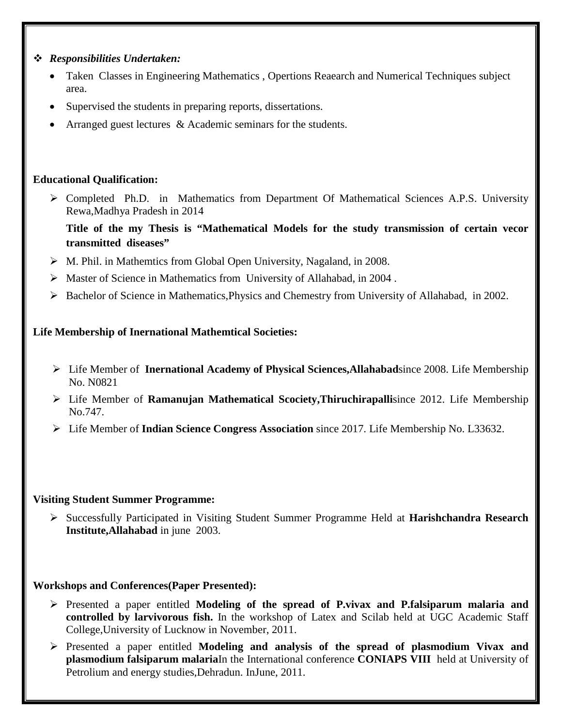- *Responsibilities Undertaken:*
	- Taken Classes in Engineering Mathematics , Opertions Reaearch and Numerical Techniques subject area.
	- Supervised the students in preparing reports, dissertations.
	- Arranged guest lectures & Academic seminars for the students.

## **Educational Qualification:**

- Completed Ph.D. in Mathematics from Department Of Mathematical Sciences A.P.S. University Rewa,Madhya Pradesh in 2014
	- **Title of the my Thesis is "Mathematical Models for the study transmission of certain vecor transmitted diseases"**
- $\triangleright$  M. Phil. in Mathemtics from Global Open University, Nagaland, in 2008.
- $\triangleright$  Master of Science in Mathematics from University of Allahabad, in 2004.
- $\triangleright$  Bachelor of Science in Mathematics, Physics and Chemestry from University of Allahabad, in 2002.

# **Life Membership of Inernational Mathemtical Societies:**

- Life Member of **Inernational Academy of Physical Sciences,Allahabad**since 2008. Life Membership No. N0821
- Life Member of **Ramanujan Mathematical Scociety,Thiruchirapalli**since 2012. Life Membership No.747.
- Life Member of **Indian Science Congress Association** since 2017. Life Membership No. L33632.

## **Visiting Student Summer Programme:**

 Successfully Participated in Visiting Student Summer Programme Held at **Harishchandra Research Institute,Allahabad** in june 2003.

# **Workshops and Conferences(Paper Presented):**

- Presented a paper entitled **Modeling of the spread of P.vivax and P.falsiparum malaria and controlled by larvivorous fish.** In the workshop of Latex and Scilab held at UGC Academic Staff College,University of Lucknow in November, 2011.
- Presented a paper entitled **Modeling and analysis of the spread of plasmodium Vivax and plasmodium falsiparum malaria**In the International conference **CONIAPS VIII** held at University of Petrolium and energy studies,Dehradun. InJune, 2011.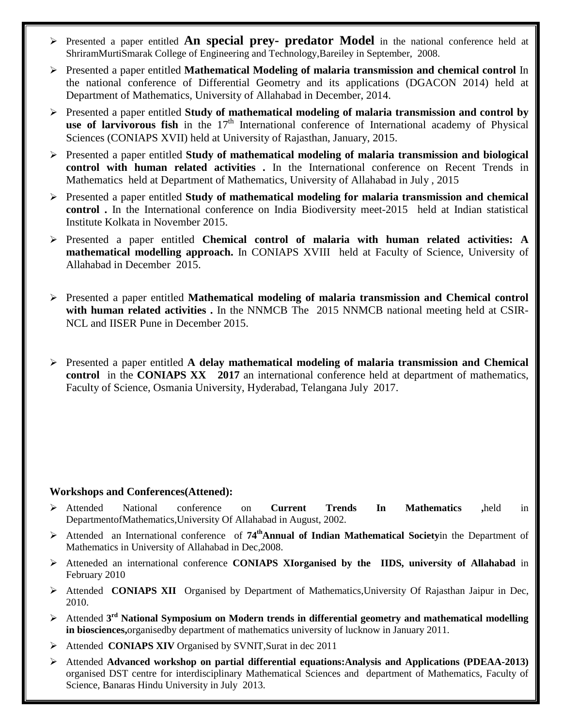- Presented a paper entitled **An special prey- predator Model** in the national conference held at ShriramMurtiSmarak College of Engineering and Technology,Bareiley in September, 2008.
- Presented a paper entitled **Mathematical Modeling of malaria transmission and chemical control** In the national conference of Differential Geometry and its applications (DGACON 2014) held at Department of Mathematics, University of Allahabad in December, 2014.
- Presented a paper entitled **Study of mathematical modeling of malaria transmission and control by**  use of larvivorous fish in the 17<sup>th</sup> International conference of International academy of Physical Sciences (CONIAPS XVII) held at University of Rajasthan, January, 2015.
- Presented a paper entitled **Study of mathematical modeling of malaria transmission and biological control with human related activities .** In the International conference on Recent Trends in Mathematics held at Department of Mathematics, University of Allahabad in July , 2015
- Presented a paper entitled **Study of mathematical modeling for malaria transmission and chemical control .** In the International conference on India Biodiversity meet-2015 held at Indian statistical Institute Kolkata in November 2015.
- Presented a paper entitled **Chemical control of malaria with human related activities: A mathematical modelling approach.** In CONIAPS XVIII held at Faculty of Science, University of Allahabad in December 2015.
- Presented a paper entitled **Mathematical modeling of malaria transmission and Chemical control with human related activities .** In the NNMCB The 2015 NNMCB national meeting held at CSIR-NCL and IISER Pune in December 2015.
- Presented a paper entitled **A delay mathematical modeling of malaria transmission and Chemical control** in the **CONIAPS XX 2017** an international conference held at department of mathematics, Faculty of Science, Osmania University, Hyderabad, Telangana July 2017.

#### **Workshops and Conferences(Attened):**

- Attended National conference on **Current Trends In Mathematics ,**held in DepartmentofMathematics,University Of Allahabad in August, 2002.
- Attended an International conference of **74thAnnual of Indian Mathematical Society**in the Department of Mathematics in University of Allahabad in Dec,2008.
- Atteneded an international conference **CONIAPS XIorganised by the IIDS, university of Allahabad** in February 2010
- Attended **CONIAPS XII** Organised by Department of Mathematics,University Of Rajasthan Jaipur in Dec, 2010.
- Attended **3rd National Symposium on Modern trends in differential geometry and mathematical modelling in biosciences,**organisedby department of mathematics university of lucknow in January 2011.
- Attended **CONIAPS XIV** Organised by SVNIT,Surat in dec 2011
- Attended **Advanced workshop on partial differential equations:Analysis and Applications (PDEAA-2013)** organised DST centre for interdisciplinary Mathematical Sciences and department of Mathematics, Faculty of Science, Banaras Hindu University in July 2013.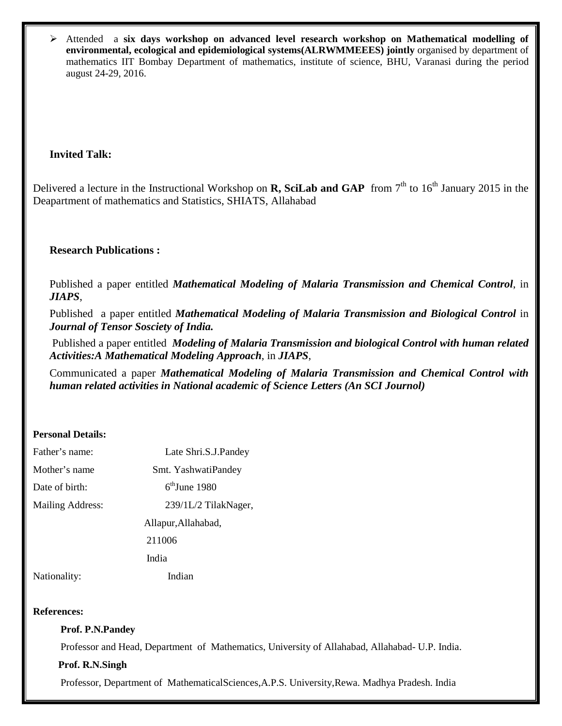Attended a **six days workshop on advanced level research workshop on Mathematical modelling of environmental, ecological and epidemiological systems(ALRWMMEEES) jointly** organised by department of mathematics IIT Bombay Department of mathematics, institute of science, BHU, Varanasi during the period august 24-29, 2016.

## **Invited Talk:**

Delivered a lecture in the Instructional Workshop on **R, SciLab and GAP** from  $7<sup>th</sup>$  to  $16<sup>th</sup>$  January 2015 in the Deapartment of mathematics and Statistics, SHIATS, Allahabad

## **Research Publications :**

Published a paper entitled *Mathematical Modeling of Malaria Transmission and Chemical Control*, in *JIAPS*,

Published a paper entitled *Mathematical Modeling of Malaria Transmission and Biological Control* in *Journal of Tensor Sosciety of India.*

Published a paper entitled *Modeling of Malaria Transmission and biological Control with human related Activities:A Mathematical Modeling Approach*, in *JIAPS*,

Communicated a paper *Mathematical Modeling of Malaria Transmission and Chemical Control with human related activities in National academic of Science Letters (An SCI Journol)*

#### **Personal Details:**

| Father's name:          | Late Shri.S.J.Pandey      |
|-------------------------|---------------------------|
| Mother's name           | Smt. YashwatiPandey       |
| Date of birth:          | $6^{\text{th}}$ June 1980 |
| <b>Mailing Address:</b> | 239/1L/2 TilakNager,      |
|                         | Allapur, Allahabad,       |
|                         | 211006                    |
|                         | India                     |
| Nationality:            | Indian                    |

#### **References:**

#### **Prof. P.N.Pandey**

Professor and Head, Department of Mathematics, University of Allahabad, Allahabad- U.P. India.

#### **Prof. R.N.Singh**

Professor, Department of MathematicalSciences,A.P.S. University,Rewa. Madhya Pradesh. India